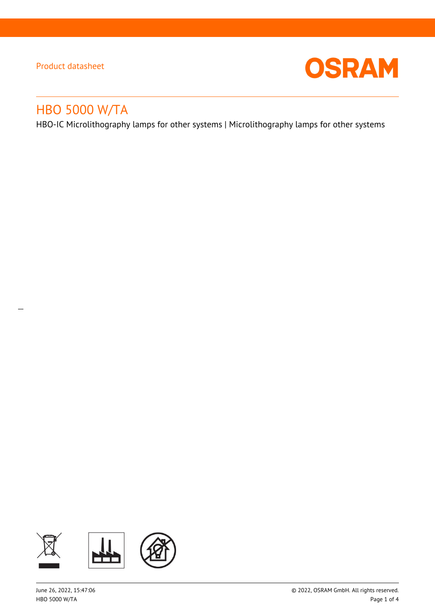$\overline{a}$ 



# HBO 5000 W/TA

HBO-IC Microlithography lamps for other systems | Microlithography lamps for other systems

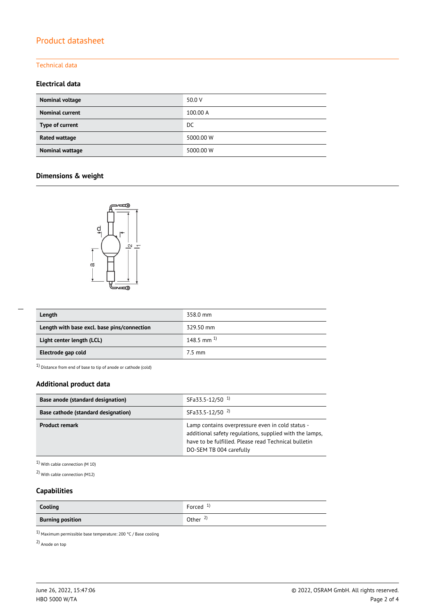### Technical data

### **Electrical data**

| Nominal voltage        | 50.0 V    |
|------------------------|-----------|
| <b>Nominal current</b> | 100.00 A  |
| Type of current        | DC.       |
| Rated wattage          | 5000.00 W |
| Nominal wattage        | 5000.00 W |

### **Dimensions & weight**



| Length                                      | 358.0 mm        |
|---------------------------------------------|-----------------|
| Length with base excl. base pins/connection | 329.50 mm       |
| Light center length (LCL)                   | 148.5 mm $^{1}$ |
| Electrode gap cold                          | $7.5$ mm        |

 $1)$  Distance from end of base to tip of anode or cathode (cold)

### **Additional product data**

| Base anode (standard designation)          | SFa33.5-12/50 <sup>1</sup>                                                                                                                                                                     |  |  |
|--------------------------------------------|------------------------------------------------------------------------------------------------------------------------------------------------------------------------------------------------|--|--|
| <b>Base cathode (standard designation)</b> | SFa33.5-12/50 <sup>2)</sup>                                                                                                                                                                    |  |  |
| <b>Product remark</b>                      | Lamp contains overpressure even in cold status -<br>additional safety regulations, supplied with the lamps,<br>have to be fulfilled. Please read Technical bulletin<br>DO-SEM TB 004 carefully |  |  |

1) With cable connection (M 10)

2) With cable connection (M12)

### **Capabilities**

| Cooling                 | Forced $1$          |
|-------------------------|---------------------|
| <b>Burning position</b> | Other $\frac{2}{3}$ |

 $^{1)}$  Maximum permissible base temperature: 200 °C / Base cooling

2) Anode on top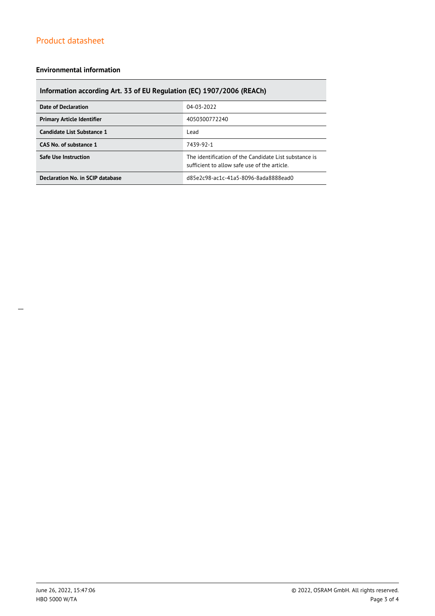### **Environmental information**

### **Information according Art. 33 of EU Regulation (EC) 1907/2006 (REACh)**

| <b>Date of Declaration</b>        | 04-03-2022                                                                                            |  |
|-----------------------------------|-------------------------------------------------------------------------------------------------------|--|
| <b>Primary Article Identifier</b> | 4050300772240                                                                                         |  |
| Candidate List Substance 1        | Lead                                                                                                  |  |
| CAS No. of substance 1            | 7439-92-1                                                                                             |  |
| <b>Safe Use Instruction</b>       | The identification of the Candidate List substance is<br>sufficient to allow safe use of the article. |  |
| Declaration No. in SCIP database  | d85e2c98-ac1c-41a5-8096-8ada8888ead0                                                                  |  |